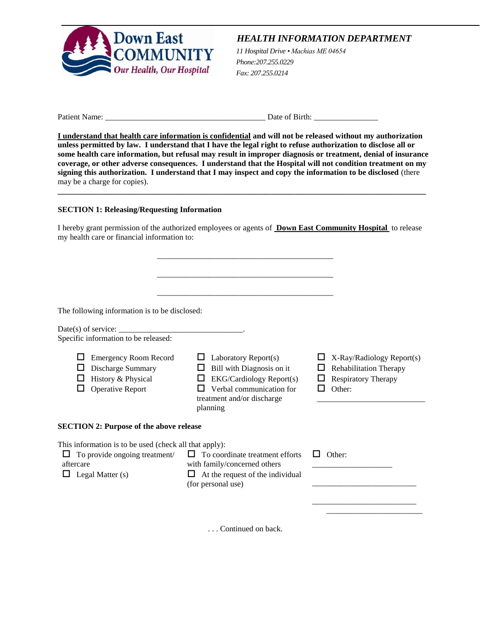

# *HEALTH INFORMATION DEPARTMENT*

Health Information Department *11 Hospital Drive • Machias ME 04654 Phone:207.255.0229 Fax: 207.255.0214*

Patient Name: \_\_\_\_\_\_\_\_\_\_\_\_\_\_\_\_\_\_\_\_\_\_\_\_\_\_\_\_\_\_\_\_\_\_\_\_\_\_\_\_ Date of Birth: \_\_\_\_\_\_\_\_\_\_\_\_\_\_\_\_

**I understand that health care information is confidential and will not be released without my authorization unless permitted by law. I understand that I have the legal right to refuse authorization to disclose all or some health care information, but refusal may result in improper diagnosis or treatment, denial of insurance coverage, or other adverse consequences. I understand that the Hospital will not condition treatment on my signing this authorization. I understand that I may inspect and copy the information to be disclosed** (there may be a charge for copies).

**\_\_\_\_\_\_\_\_\_\_\_\_\_\_\_\_\_\_\_\_\_\_\_\_\_\_\_\_\_\_\_\_\_\_\_\_\_\_\_\_\_\_\_\_\_\_\_\_\_\_\_\_\_\_\_\_\_\_\_\_\_\_\_\_\_\_\_\_\_\_\_\_\_\_\_\_\_\_\_\_\_\_\_\_\_\_\_\_\_\_\_\_**

## **SECTION 1: Releasing/Requesting Information**

I hereby grant permission of the authorized employees or agents of **Down East Community Hospital** to release my health care or financial information to:

| The following information is to be disclosed:<br>Date(s) of service: $\frac{1}{\sqrt{1-\frac{1}{2}}}\left  \frac{1}{\sqrt{1-\frac{1}{2}}}\right $<br>Specific information to be released: |                                                                                                                                                                 |                                                                                                    |
|-------------------------------------------------------------------------------------------------------------------------------------------------------------------------------------------|-----------------------------------------------------------------------------------------------------------------------------------------------------------------|----------------------------------------------------------------------------------------------------|
| <b>Emergency Room Record</b><br>Discharge Summary<br>History & Physical<br>Operative Report                                                                                               | Laboratory Report(s)<br>Bill with Diagnosis on it<br><b>EKG/Cardiology Report(s)</b><br>⊔<br>Verbal communication for<br>treatment and/or discharge<br>planning | X-Ray/Radiology Report(s)<br><b>Rehabilitation Therapy</b><br><b>Respiratory Therapy</b><br>Other: |
| <b>SECTION 2: Purpose of the above release</b>                                                                                                                                            |                                                                                                                                                                 |                                                                                                    |
| This information is to be used (check all that apply):<br>To provide ongoing treatment/<br>aftercare<br>Legal Matter (s)<br>ப                                                             | ப<br>To coordinate treatment efforts<br>with family/concerned others<br>At the request of the individual<br>(for personal use)                                  | Other:<br>ΙI                                                                                       |

. . . Continued on back.